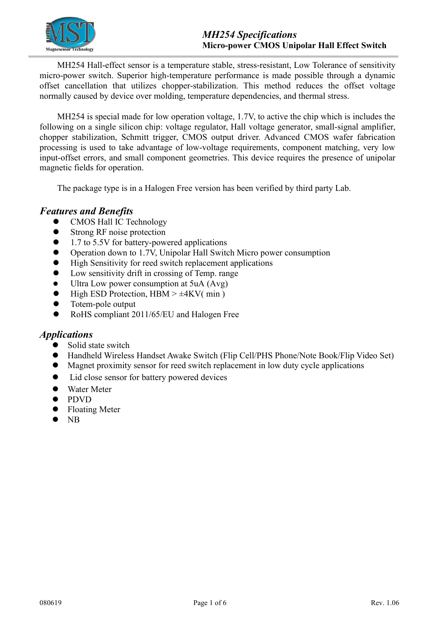

MH254 Hall-effect sensor is a temperature stable, stress-resistant, Low Tolerance of sensitivity micro-power switch. Superior high-temperature performance is made possible through a dynamic offset cancellation that utilizes chopper-stabilization. This method reduces the offset voltage normally caused by device over molding, temperature dependencies, and thermal stress.

MH254 is special made for low operation voltage, 1.7V, to active the chip which is includes the following on a single silicon chip: voltage regulator, Hall voltage generator, small-signal amplifier, chopper stabilization, Schmitt trigger, CMOS output driver. Advanced CMOS wafer fabrication processing is used to take advantage of low-voltage requirements, component matching, very low input-offset errors, and small component geometries. This device requires the presence of unipolar magnetic fields for operation.

The package type is in a Halogen Free version has been verified by third party Lab.

### *Features and Benefits*

- CMOS Hall IC Technology
- Strong RF noise protection
- 1.7 to 5.5V for battery-powered applications
- Operation down to 1.7V, Unipolar Hall Switch Micro power consumption
- High Sensitivity for reed switch replacement applications
- Low sensitivity drift in crossing of Temp. range
- Ultra Low power consumption at 5uA (Avg)
- High ESD Protection,  $HBM > \pm 4KV(min)$
- Totem-pole output
- RoHS compliant 2011/65/EU and Halogen Free

#### *Applications*

- Solid state switch
- Handheld Wireless Handset Awake Switch (Flip Cell/PHS Phone/Note Book/Flip Video Set)
- Magnet proximity sensor for reed switch replacement in low duty cycle applications
- Lid close sensor for battery powered devices
- Water Meter
- **•** PDVD
- Floating Meter
- $\bullet$  NB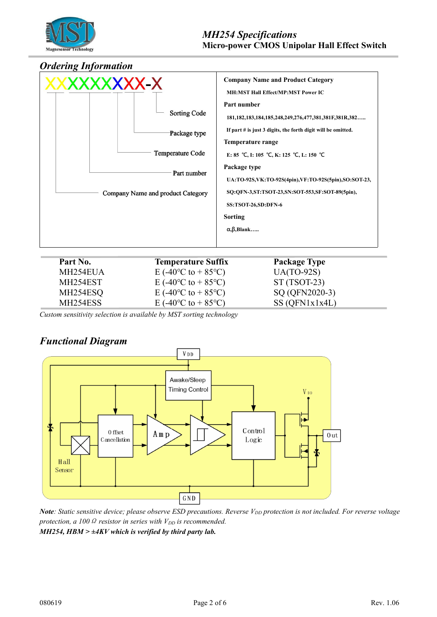

#### *Ordering Information*



| Part No. | <b>Temperature Suffix</b>                     | <b>Package Type</b> |
|----------|-----------------------------------------------|---------------------|
| MH254EUA | E (-40 <sup>o</sup> C to + 85 <sup>o</sup> C) | $UA(TO-92S)$        |
| MH254EST | E (-40 <sup>o</sup> C to + 85 <sup>o</sup> C) | $ST(TSOT-23)$       |
| MH254ESQ | E (-40 <sup>o</sup> C to + 85 <sup>o</sup> C) | SQ (QFN2020-3)      |
| MH254ESS | E (-40 <sup>o</sup> C to + 85 <sup>o</sup> C) | SS(QFN1x1x4L)       |

*Custom sensitivity selection is available by MST sorting technology*

## *Functional Diagram*



Note: Static sensitive device; please observe ESD precautions. Reverse V<sub>DD</sub> protection is not included. For reverse voltage *protection, a*  $100 \Omega$  *resistor in series with*  $V_{DD}$  *is recommended. MH254, HBM > ±4KV which is verified by third party lab.*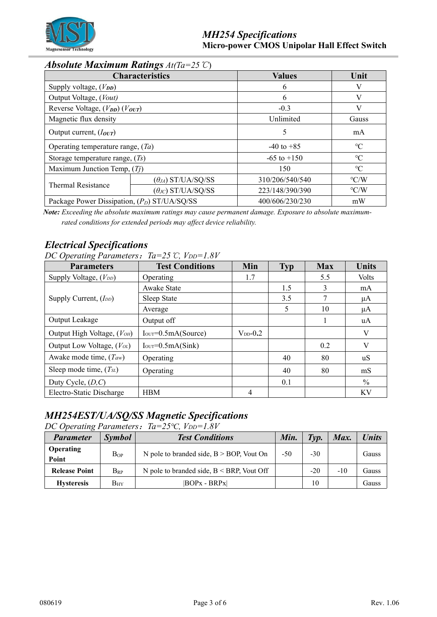

## *Absolute Maximum Ratings At(Ta=25*℃)

| <b>Characteristics</b>                                   |                             | <b>Values</b>   | Unit               |  |
|----------------------------------------------------------|-----------------------------|-----------------|--------------------|--|
| Supply voltage, $(V_{DD})$                               |                             | 6               |                    |  |
| Output Voltage, (Vout)                                   |                             | 6               | V                  |  |
| Reverse Voltage, $(V_{DD})$ $(V_{OUT})$                  |                             | $-0.3$          | V                  |  |
| Magnetic flux density                                    |                             | Unlimited       | Gauss              |  |
| Output current, $(I_{OUT})$                              |                             | 5               | mA                 |  |
| Operating temperature range, $(Ta)$                      |                             | $-40$ to $+85$  | $\rm ^{\circ}C$    |  |
| Storage temperature range, $(T_s)$                       |                             | $-65$ to $+150$ | $\rm ^{\circ}C$    |  |
| Maximum Junction Temp, $(Ti)$                            |                             | 150             | $\rm ^{\circ}C$    |  |
| <b>Thermal Resistance</b>                                | $(\theta_{JA})$ ST/UA/SQ/SS | 310/206/540/540 | $\rm ^{\circ} C/W$ |  |
|                                                          | $(\theta_{JC})$ ST/UA/SQ/SS | 223/148/390/390 | $\rm ^{\circ} C/W$ |  |
| Package Power Dissipation, (P <sub>D</sub> ) ST/UA/SQ/SS |                             | 400/606/230/230 | mW                 |  |

*Note: Exceeding the absolute maximum ratings may cause permanent damage. Exposure to absolute maximum rated conditions for extended periods may af ect device reliability.*

## *Electrical Specifications*

| DC Operating Parameters: $Ta=25 \text{ °C}$ , $V_{DD}=1.8V$ |  |  |
|-------------------------------------------------------------|--|--|
|-------------------------------------------------------------|--|--|

| <b>Parameters</b>              | <b>Test Conditions</b> | Min           | <b>Typ</b> | <b>Max</b> | <b>Units</b>  |
|--------------------------------|------------------------|---------------|------------|------------|---------------|
| Supply Voltage, $(V_{DD})$     | Operating              | 1.7           |            | 5.5        | <b>Volts</b>  |
|                                | Awake State            |               | 1.5        | 3          | mA            |
| Supply Current, $(I_{DD})$     | Sleep State            |               | 3.5        | ┑          | μA            |
|                                | Average                |               | 5          | 10         | μA            |
| Output Leakage                 | Output off             |               |            |            | uA            |
| Output High Voltage, (VOH)     | $IOUT=0.5mA(Source)$   | $V_{DD}$ -0.2 |            |            | V             |
| Output Low Voltage, $(V_{OL})$ | $IOUT=0.5mA(Sink)$     |               |            | 0.2        | V             |
| Awake mode time, $(Taw)$       | Operating              |               | 40         | 80         | uS            |
| Sleep mode time, $(T_{SL})$    | Operating              |               | 40         | 80         | mS            |
| Duty Cycle, $(D, C)$           |                        |               | 0.1        |            | $\frac{0}{0}$ |
| Electro-Static Discharge       | <b>HBM</b>             | 4             |            |            | <b>KV</b>     |

# *MH254EST/UA/SQ/SS Magnetic Specifications*

*DC Operating Parameters*:*Ta=25℃, VDD=1.8V*

| <b>Parameter</b>          | <i><b>Symbol</b></i> | <b>Test Conditions</b>                       | Min.  | Tvp.  | Max.  | <b>Units</b> |
|---------------------------|----------------------|----------------------------------------------|-------|-------|-------|--------------|
| <b>Operating</b><br>Point | BoP                  | N pole to branded side, $B > BOP$ , Vout On  | $-50$ | $-30$ |       | Gauss        |
| <b>Release Point</b>      | $B_{RP}$             | N pole to branded side, $B < BRP$ , Vout Off |       | $-20$ | $-10$ | Gauss        |
| <b>Hysteresis</b>         | $\rm{B}_{HY}$        | $ BOPx - BRPx $                              |       | 10    |       | Gauss        |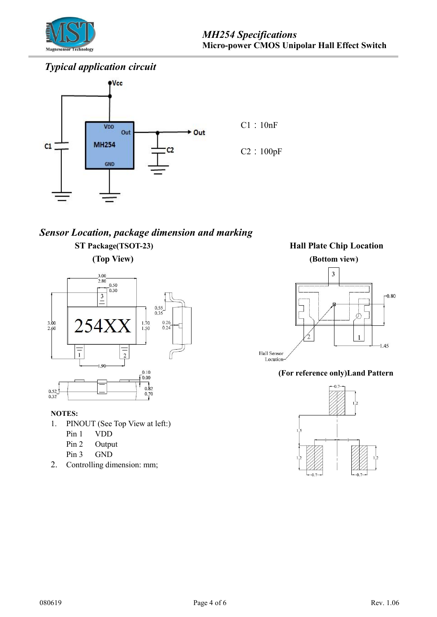

# *Typical application circuit*



# *Sensor Location, package dimension and marking* **ST Package(TSOT-23) Hall Plate Chip Location**



#### **NOTES:**

- 1. PINOUT (See Top View at left:)
	- Pin 1 VDD
	- Pin 2 Output
	- Pin 3 GND
- 2. Controlling dimension: mm;

**(Top View) (Bottom view)**



#### **(For reference only)Land Pattern**

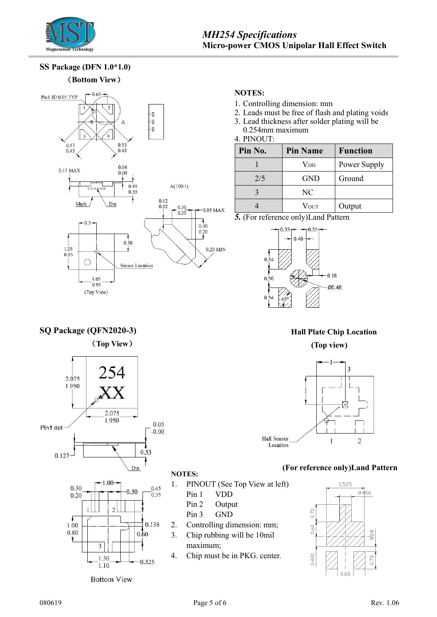

### *MH254 Specifications* **Micro-power CMOS Unipolar Hall Effect Switch**

**SS Package (DFN 1.0\*1.0)** (**Bottom View**)

**SQ Package (QFN2020-3)**

2.075 1.950

Pin1 dot

0.127

(**Top View**)

254

2.075 1.950



# **NOTES:**

- 1. Controlling dimension: mm
- 2. Leads must be free of flash and plating voids
- 3. Lead thickness after solder plating will be
- 0.254mm maximum  $4.$  PINOUT $\cdot$

| Pin No. | <b>Pin Name</b>         | <b>Function</b> |
|---------|-------------------------|-----------------|
|         | $\operatorname{V_{DD}}$ | Power Supply    |
| 2/5     | <b>GND</b>              | Ground          |
|         | NC                      |                 |
|         | Vout                    | Output          |

*5.* (For reference only)Land Pattern



# **Hall Plate Chip Location (Top view)**



#### **(For reference only)Land Pattern**



**NOTES:**

0.05

 $-0.00$ 

 $0.53$ 

- - Pin 1 VDD  $\rightarrow$
	- Pin 2 Output
	- Pin 3 GND  $\begin{bmatrix} 5 \end{bmatrix}$  |  $\begin{bmatrix} 5 \end{bmatrix}$
- 2. Controlling dimension: mm;
- 3. Chip rubbing will be 10mil maximum;
- 4. Chip must be in PKG. center.